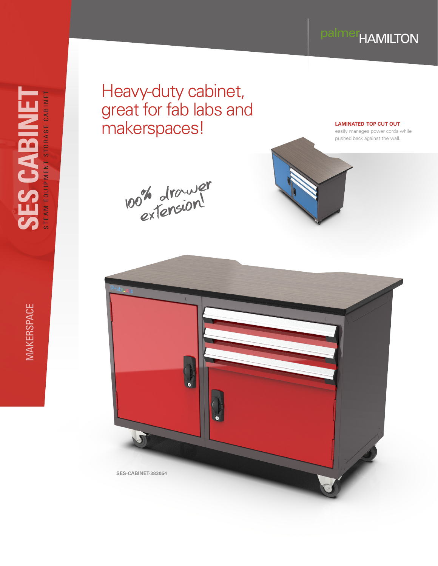## palmer<sub>HAMILTON</sub>

**MAKERSPACE** 

Heavy-duty cabinet, great for fab labs and makerspaces!

100% drawer extension!



**LAMINATED TOP CUT OUT**

easily manages power cords while pushed back against the wall.